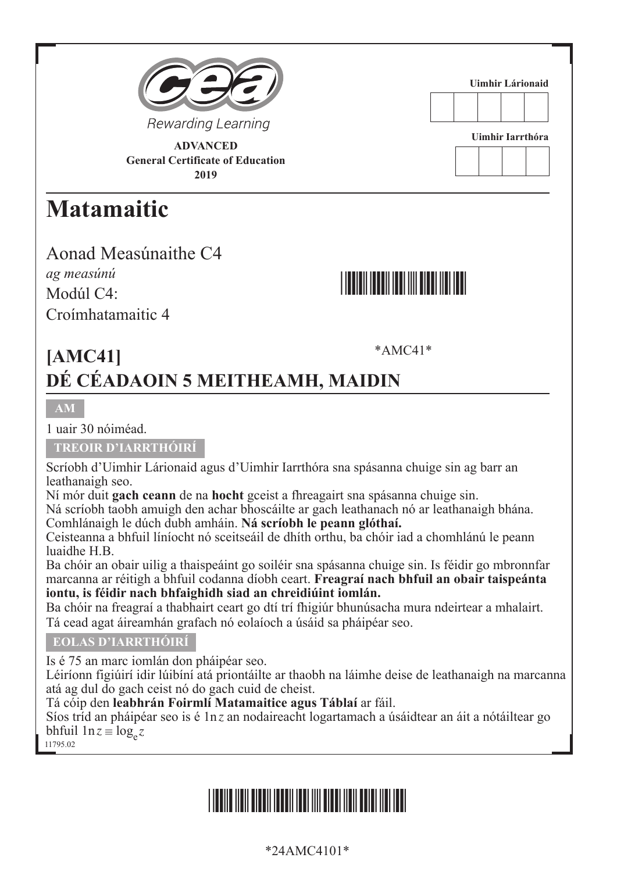

**ADVANCED General Certificate of Education 2019**

## **Matamaitic**

Aonad Measúnaithe C4 *ag measúnú* Modúl C4:

Croímhatamaitic 4



**Uimhir Lárionaid**

**Uimhir Iarrthóra**

\*AMC41\*

## **DÉ CÉADAOIN 5 MEITHEAMH, MAIDIN**

**AM**

1 uair 30 nóiméad.

**[AMC41]**

**TREOIR D'IARRTHÓIRÍ**

Scríobh d'Uimhir Lárionaid agus d'Uimhir Iarrthóra sna spásanna chuige sin ag barr an leathanaigh seo.

Ní mór duit **gach ceann** de na **hocht** gceist a fhreagairt sna spásanna chuige sin.

Ná scríobh taobh amuigh den achar bhoscáilte ar gach leathanach nó ar leathanaigh bhána. Comhlánaigh le dúch dubh amháin. **Ná scríobh le peann glóthaí.**

Ceisteanna a bhfuil líníocht nó sceitseáil de dhíth orthu, ba chóir iad a chomhlánú le peann luaidhe H.B.

Ba chóir an obair uilig a thaispeáint go soiléir sna spásanna chuige sin. Is féidir go mbronnfar marcanna ar réitigh a bhfuil codanna díobh ceart. **Freagraí nach bhfuil an obair taispeánta iontu, is féidir nach bhfaighidh siad an chreidiúint iomlán.**

Ba chóir na freagraí a thabhairt ceart go dtí trí fhigiúr bhunúsacha mura ndeirtear a mhalairt. Tá cead agat áireamhán grafach nó eolaíoch a úsáid sa pháipéar seo.

### **EOLAS D'IARRTHÓIRÍ**

Is é 75 an marc iomlán don pháipéar seo.

Léiríonn figiúirí idir lúibíní atá priontáilte ar thaobh na láimhe deise de leathanaigh na marcanna atá ag dul do gach ceist nó do gach cuid de cheist.

Tá cóip den **leabhrán Foirmlí Matamaitice agus Táblaí** ar fáil.

Síos tríd an pháipéar seo is é 1n*z* an nodaireacht logartamach a úsáidtear an áit a nótáiltear go bhfuil  $ln z \equiv log_z z$ 

11795.02

## \*24AMC4101\*

### \*24AMC4101\*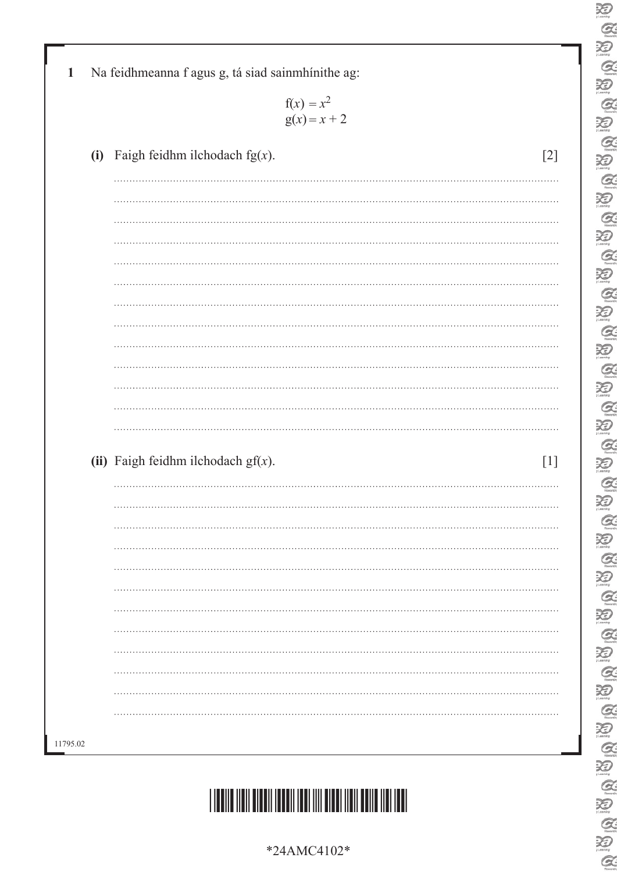| Na feidhmeanna f agus g, tá siad sainmhínithe ag:<br>$f(x) = x^2$<br>g(x) = x + 2 |       |
|-----------------------------------------------------------------------------------|-------|
| (i) Faigh feidhm ilchodach fg $(x)$ .                                             | $[2]$ |
|                                                                                   |       |
|                                                                                   |       |
|                                                                                   |       |
|                                                                                   |       |
|                                                                                   |       |
|                                                                                   |       |
|                                                                                   |       |
|                                                                                   |       |
|                                                                                   |       |
|                                                                                   |       |
|                                                                                   |       |
|                                                                                   |       |
|                                                                                   |       |
|                                                                                   |       |
| (ii) Faigh feidhm ilchodach $gf(x)$ .                                             | $[1]$ |
|                                                                                   |       |
|                                                                                   |       |
|                                                                                   |       |
|                                                                                   |       |
|                                                                                   |       |
|                                                                                   |       |
|                                                                                   |       |
|                                                                                   |       |
|                                                                                   |       |
|                                                                                   |       |
|                                                                                   |       |
|                                                                                   |       |

 $\sum_{\text{learning}}$  $\alpha$  $\sum_{\text{theory}}$  $\mathcal{Q}$  $\sum_{i=1}^{n}$  $\alpha$  $\sum_{i=1}^{\infty}$  $\mathcal{Q}$  $\sum_{n=1}^{\infty}$  $\alpha$  $\sum_{\text{norm}}$  $\alpha$  $\sum_{i \in \mathbb{N}}$  $\mathcal{Q}$  $\sum_{\text{learning}}$  $\alpha$  $\sum_{i \text{learning}}$  $\mathcal{Q}$  $\overline{\mathcal{D}}$  $\mathcal{Q}$ 泡  $\bigotimes_{\text{Riemann}}$  $\sum_{\text{learning}}$  $\mathcal{G}$  $\sum_{\text{mean}}$  $\alpha$  $\overline{\mathcal{Z}}$  $\alpha$  $\sum_{\text{learning}}$  $\alpha$  $\sum_{\text{norm}}$  $\mathcal{Q}$  $\overline{\mathbf{Z}}$  $\alpha$  $\frac{1}{2}$  $\alpha$  $\sum_{\text{theory}}$  $\mathcal{Q}$  $\sum_{\text{norm}}$  $\alpha$  $\sum_{\text{max}}$ 

 $Q$ 



\*24AMC4102\*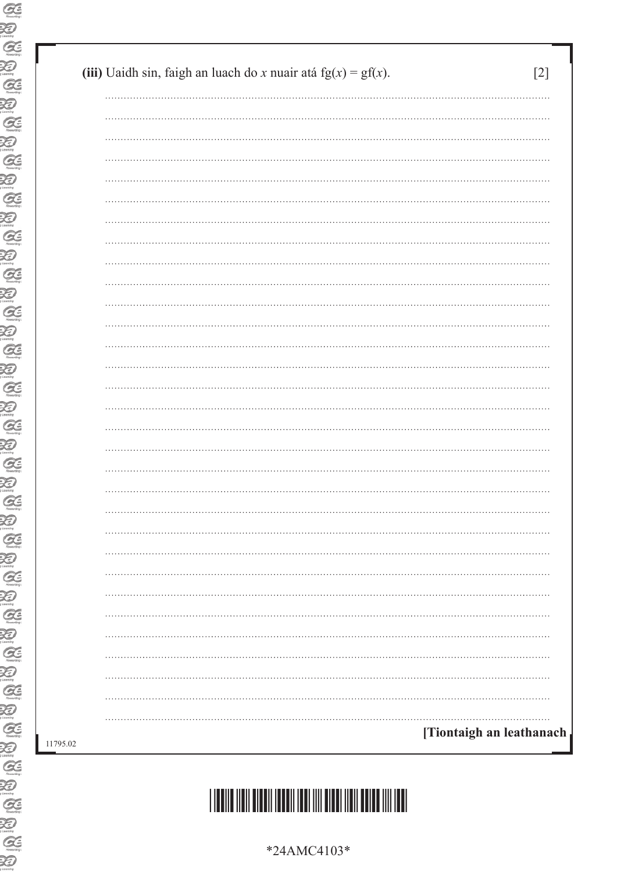| (iii) Uaidh sin, faigh an luach do x nuair atá fg(x) = $gf(x)$ . |  |  |                          | $\lceil 2 \rceil$ |
|------------------------------------------------------------------|--|--|--------------------------|-------------------|
|                                                                  |  |  |                          |                   |
|                                                                  |  |  |                          |                   |
|                                                                  |  |  |                          |                   |
|                                                                  |  |  |                          |                   |
|                                                                  |  |  |                          |                   |
|                                                                  |  |  |                          |                   |
|                                                                  |  |  |                          |                   |
|                                                                  |  |  |                          |                   |
|                                                                  |  |  |                          |                   |
|                                                                  |  |  |                          |                   |
|                                                                  |  |  |                          |                   |
|                                                                  |  |  |                          |                   |
|                                                                  |  |  |                          |                   |
|                                                                  |  |  |                          |                   |
|                                                                  |  |  |                          |                   |
|                                                                  |  |  |                          |                   |
|                                                                  |  |  |                          |                   |
|                                                                  |  |  |                          |                   |
|                                                                  |  |  |                          |                   |
|                                                                  |  |  |                          |                   |
|                                                                  |  |  |                          |                   |
|                                                                  |  |  |                          |                   |
|                                                                  |  |  |                          |                   |
|                                                                  |  |  |                          |                   |
|                                                                  |  |  |                          |                   |
|                                                                  |  |  |                          |                   |
|                                                                  |  |  |                          |                   |
|                                                                  |  |  |                          |                   |
|                                                                  |  |  |                          |                   |
|                                                                  |  |  |                          |                   |
|                                                                  |  |  |                          |                   |
|                                                                  |  |  |                          |                   |
|                                                                  |  |  |                          |                   |
|                                                                  |  |  |                          |                   |
|                                                                  |  |  | [Tiontaigh an leathanach |                   |
|                                                                  |  |  |                          |                   |

\*24AMC4103\*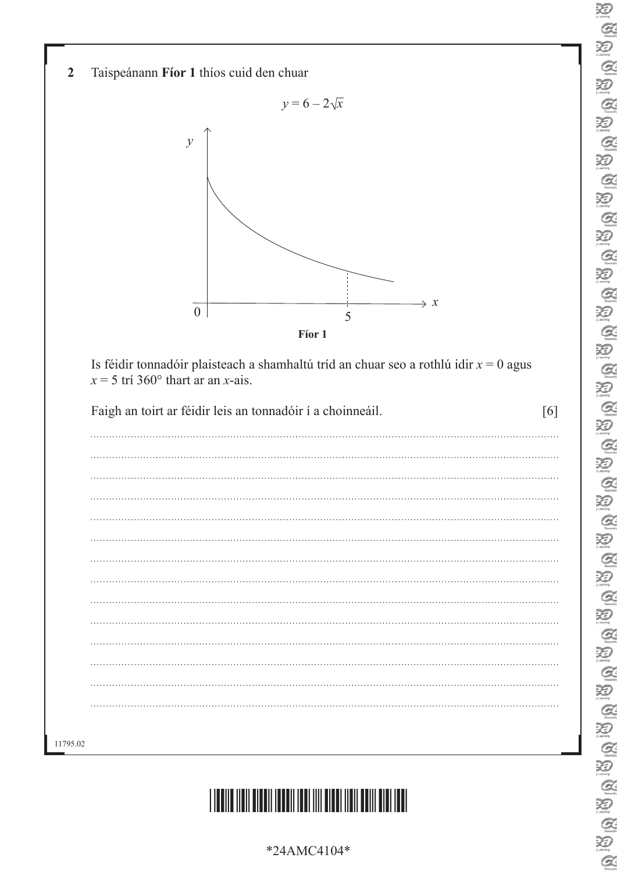| $\overline{2}$ | Taispeánann Fíor 1 thíos cuid den chuar |  |  |  |  |  |  |  |
|----------------|-----------------------------------------|--|--|--|--|--|--|--|
|----------------|-----------------------------------------|--|--|--|--|--|--|--|



Is féidir tonnadóir plaisteach a shamhaltú tríd an chuar seo a rothlú idir *x* = 0 agus  $x = 5$  trí 360 $^{\circ}$  thart ar an *x*-ais.

Faigh an toirt ar féidir leis an tonnadóir í a choinneáil. [6]



\*24AMC4104\*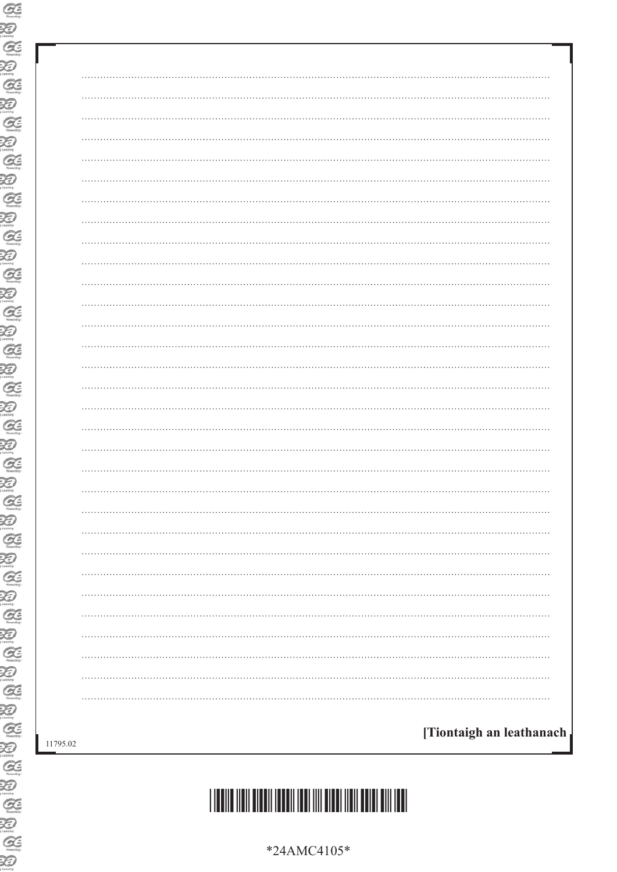| $\ddotsc$            |                                       |
|----------------------|---------------------------------------|
| $\cdots$             |                                       |
|                      |                                       |
| $\ddotsc$            |                                       |
| $\cdots$             |                                       |
|                      |                                       |
| $\ddot{\phantom{a}}$ |                                       |
| $\cdots$             |                                       |
|                      |                                       |
| $\ddot{\phantom{a}}$ |                                       |
| $\cdots$             |                                       |
|                      |                                       |
| $\ddot{\phantom{a}}$ |                                       |
| $\cdots$             |                                       |
|                      |                                       |
| $\ddotsc$            |                                       |
|                      | .                                     |
|                      |                                       |
|                      |                                       |
|                      | .                                     |
|                      | .                                     |
|                      |                                       |
|                      |                                       |
|                      |                                       |
|                      |                                       |
|                      |                                       |
|                      |                                       |
|                      |                                       |
|                      |                                       |
|                      |                                       |
|                      |                                       |
|                      | [Tiontaigh an leathanach <sub>]</sub> |
|                      |                                       |

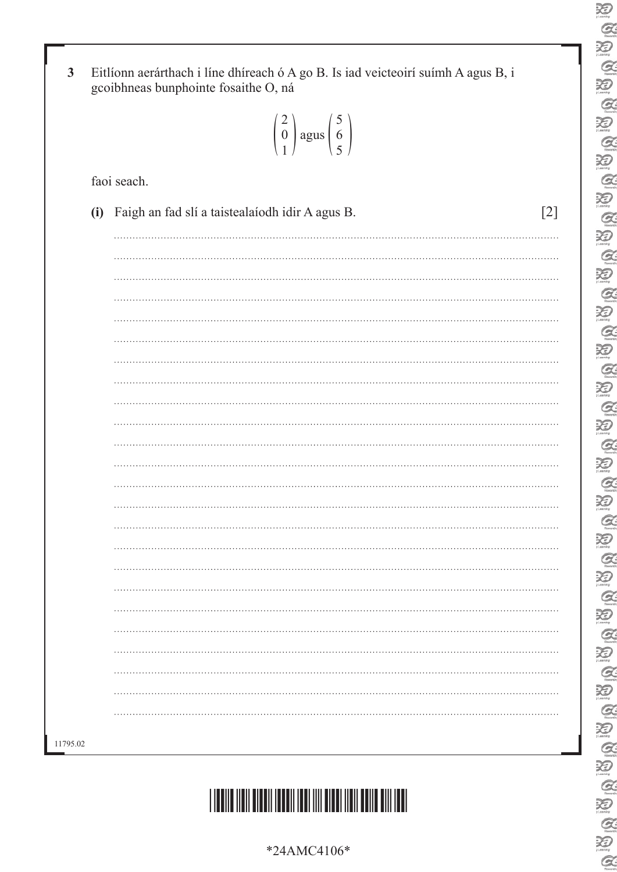| $\mathbf{3}$ |     | Eitlíonn aerárthach i líne dhíreach ó A go B. Is iad veicteoirí suímh A agus B, i<br>gcoibhneas bunphointe fosaithe O, ná |
|--------------|-----|---------------------------------------------------------------------------------------------------------------------------|
|              |     | $\begin{pmatrix} 2 \\ 0 \\ 1 \end{pmatrix}$ agus $\begin{pmatrix} 5 \\ 6 \\ 5 \end{pmatrix}$                              |
|              |     | faoi seach.                                                                                                               |
|              | (i) | Faigh an fad slí a taistealaíodh idir A agus B.<br>[2]                                                                    |
|              |     |                                                                                                                           |
|              |     |                                                                                                                           |
|              |     |                                                                                                                           |
|              |     |                                                                                                                           |
|              |     |                                                                                                                           |
|              |     |                                                                                                                           |
|              |     |                                                                                                                           |
|              |     |                                                                                                                           |
|              |     |                                                                                                                           |
|              |     |                                                                                                                           |
|              |     |                                                                                                                           |
|              |     |                                                                                                                           |
|              |     |                                                                                                                           |
|              |     |                                                                                                                           |
|              |     |                                                                                                                           |
|              |     |                                                                                                                           |
|              |     |                                                                                                                           |
|              |     |                                                                                                                           |
|              |     |                                                                                                                           |
|              |     |                                                                                                                           |
| 11795.02     |     |                                                                                                                           |

 $\sum_{\text{learning}}$  $\alpha$  $\sum_{\text{theory}}$  $\bigotimes_{\text{Number of}}$  $\sum_{i=1}^{n}$  $\alpha$  $\sum_{i=1}^{\infty}$  $\mathcal{Q}$  $\sum_{n=1}^{\infty}$  $\alpha$  $\sum_{\text{norm}}$  $\alpha$  $\overline{\mathcal{Z}}$  $\mathcal{Q}$  $\sum_{\text{learning}}$  $\alpha$  $\sum_{i \text{learning}}$  $\alpha$  $\overline{\mathcal{D}}$  $\mathcal{Q}$ 泡  $\mathcal{Q}$  $\sum_{\text{learning}}$  $\mathcal{G}$  $\sum_{\text{mean}}$  $\alpha$  $\overline{\mathcal{Z}}$  $\alpha$  $\sum_{\text{learning}}$  $\alpha$  $\sum_{\text{norm}}$  $\mathcal{Q}$  $\sum_{\text{learning}}$  $\alpha$  $\frac{1}{2}$  $Q$  $\sum_{\text{theory}}$  $\mathcal{Q}$  $\sum_{\text{norm}}$  $\alpha$  $\sum_{\text{max}}$ 

 $Q$ 



\*24AMC4106\*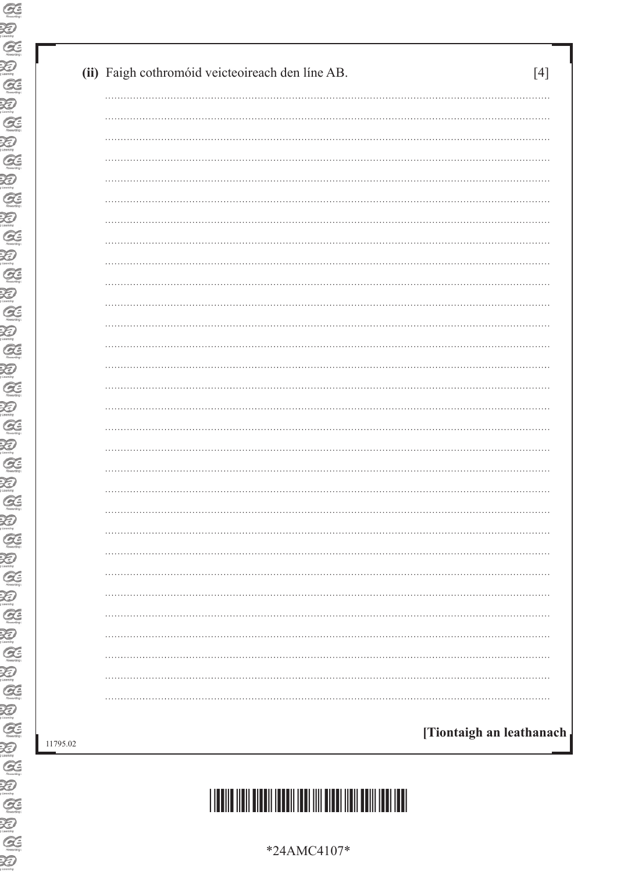| [Tiontaigh an leathanach |  |
|--------------------------|--|

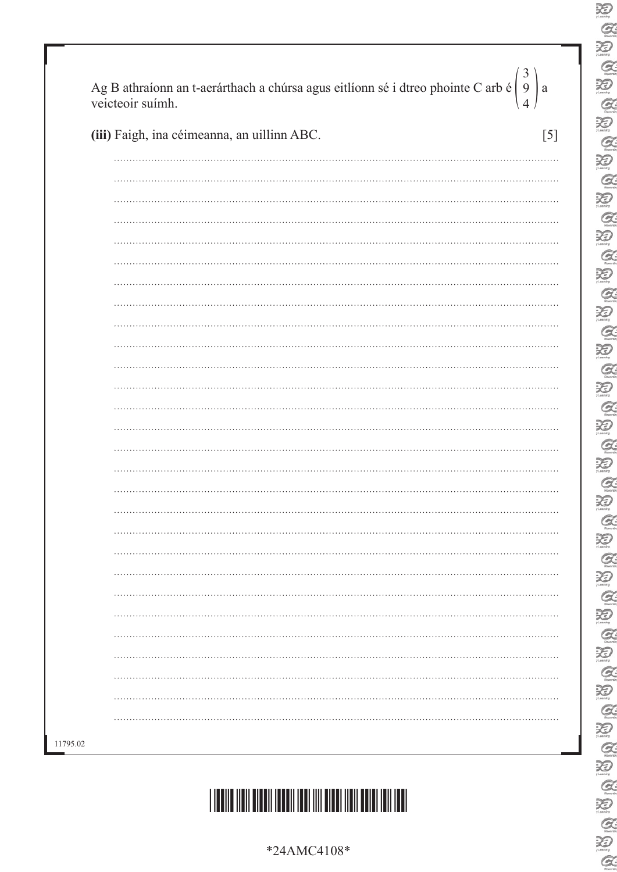

| (iii) Faigh, ina céimeanna, an uillinn ABC. |
|---------------------------------------------|
|                                             |
|                                             |
|                                             |
|                                             |
|                                             |
|                                             |
|                                             |
|                                             |
|                                             |
|                                             |
| $\cdots$                                    |
|                                             |
|                                             |
|                                             |
|                                             |
|                                             |
|                                             |
|                                             |
|                                             |
|                                             |
|                                             |
|                                             |
|                                             |
|                                             |
|                                             |
|                                             |
|                                             |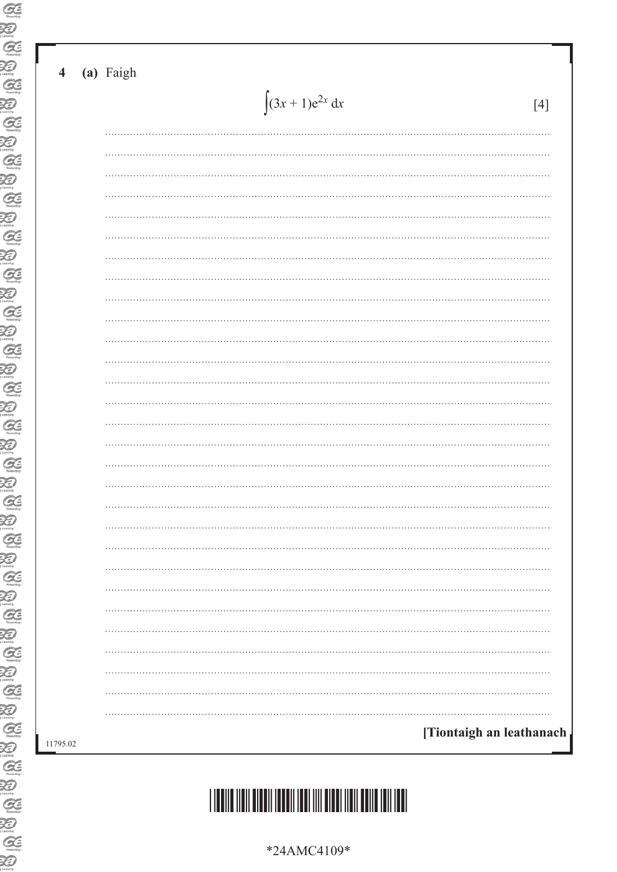### (a) Faigh  $\overline{\mathbf{4}}$

| $[4]$                    | $\int (3x+1)e^{2x} dx$ |
|--------------------------|------------------------|
| .                        |                        |
| .                        |                        |
|                          |                        |
|                          |                        |
| . <b>.</b> .             |                        |
|                          |                        |
|                          |                        |
| .                        |                        |
|                          |                        |
| .                        |                        |
| .                        |                        |
|                          |                        |
| .                        |                        |
| .                        |                        |
|                          |                        |
| .                        |                        |
| . <i>.</i>               |                        |
|                          |                        |
|                          |                        |
| .                        |                        |
|                          |                        |
|                          |                        |
|                          |                        |
|                          |                        |
|                          |                        |
|                          |                        |
|                          |                        |
|                          |                        |
| .                        |                        |
| [Tiontaigh an leathanach |                        |

#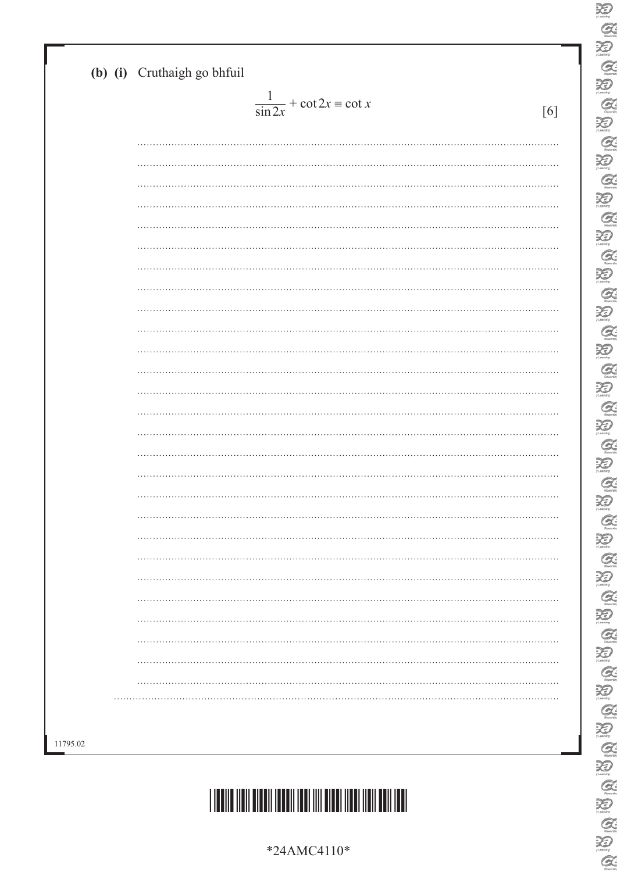| $\frac{1}{\sin 2x} + \cot 2x \equiv \cot x$<br>[6] |
|----------------------------------------------------|
|                                                    |
|                                                    |
|                                                    |
|                                                    |
|                                                    |
|                                                    |
|                                                    |
|                                                    |
|                                                    |
|                                                    |
|                                                    |
|                                                    |
|                                                    |
|                                                    |
|                                                    |
|                                                    |
|                                                    |
|                                                    |
|                                                    |
|                                                    |
|                                                    |
|                                                    |
|                                                    |
|                                                    |
|                                                    |

 $\sum_{\text{learning}}$  $\alpha$  $\overline{\mathcal{Z}}$  $\mathcal{Q}$  $\sum_{i \in \mathcal{I}}$  $\alpha$  $\sum_{i=1}^{\infty}$  $\mathcal{Q}$  $\sum_{n=1}^{\infty}$  $\alpha$  $\sum_{\text{norm}}$  $\alpha$  $\overline{\mathcal{Z}}$  $\mathcal{Q}$  $\sum_{\text{learning}}$  $\alpha$  $\sum_{i \text{learning}}$  $\alpha$  $\overline{\mathcal{D}}$  $\mathcal{Q}$ 泡  $\bigotimes_{\text{Riemann}}$  $\sum_{\text{learning}}$  $\mathcal{G}$  $\sum_{\text{mean}}$  $\alpha$  $\overline{\mathcal{Z}}$  $\alpha$  $\sum_{\text{learning}}$  $\alpha$  $\sum_{\text{norm}}$  $\mathcal{Q}$  $\sum_{\text{learning}}$  $\alpha$  $\frac{1}{2}$  $\alpha$  $\sum_{\text{theory}}$  $\mathcal{Q}$  $\sum_{\text{norm}}$ 

 $\alpha$  $\sum_{\text{max}}$  $\alpha$ 

 $\sum_{\text{Z} \text{ learning}}$ 

 $Q$ 



\*24AMC4110\*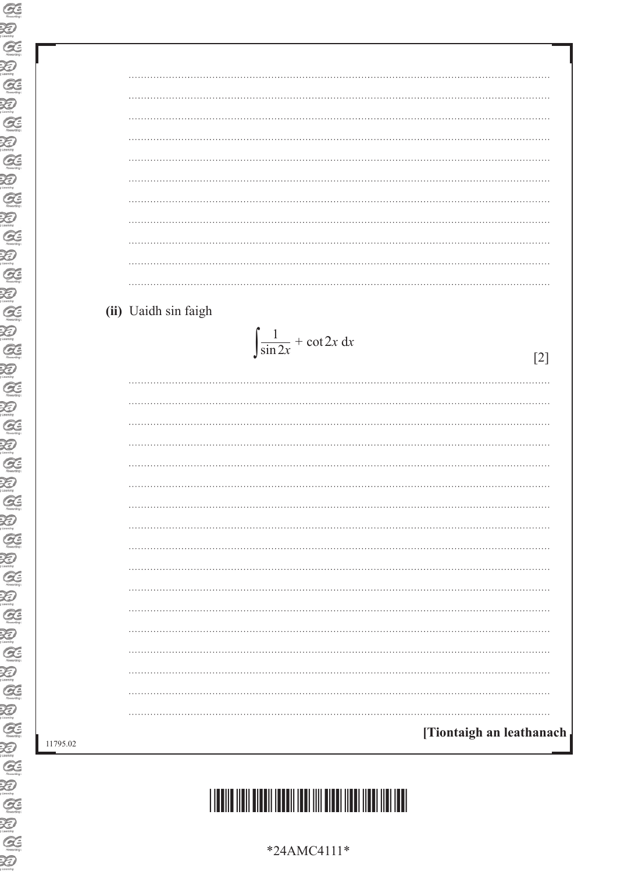(ii) Uaidh sin faigh

$$
\int \frac{1}{\sin 2x} + \cot 2x \, \mathrm{d}x
$$

 $[2]$ 

| .                        |  |
|--------------------------|--|
|                          |  |
|                          |  |
|                          |  |
|                          |  |
|                          |  |
|                          |  |
|                          |  |
|                          |  |
|                          |  |
|                          |  |
|                          |  |
| .                        |  |
| [Tiontaigh an leathanach |  |
|                          |  |

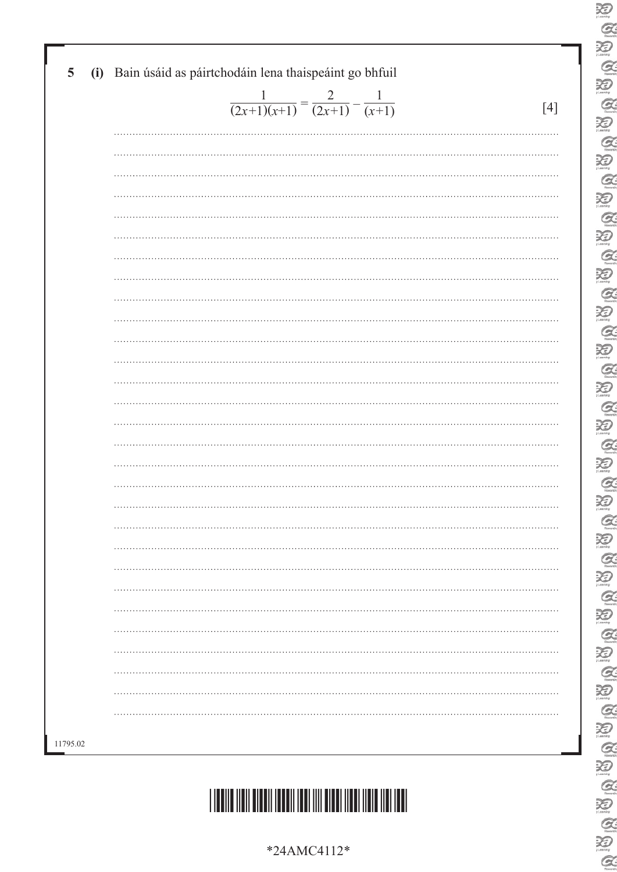| $*24AMC4112*$ |  |
|---------------|--|

# \*24AMC4112\*

| 5        | (i) Bain úsáid as páirtchodáin lena thaispeáint go bhfuil    |       |
|----------|--------------------------------------------------------------|-------|
|          | $\frac{1}{(2x+1)(x+1)} = \frac{2}{(2x+1)} - \frac{1}{(x+1)}$ | $[4]$ |
|          |                                                              |       |
|          |                                                              |       |
|          |                                                              |       |
|          | .                                                            |       |
|          |                                                              |       |
|          |                                                              |       |
|          |                                                              |       |
|          |                                                              |       |
|          |                                                              |       |
|          |                                                              |       |
|          |                                                              |       |
|          |                                                              |       |
|          |                                                              |       |
|          |                                                              |       |
|          |                                                              |       |
|          |                                                              |       |
|          |                                                              |       |
|          |                                                              |       |
|          |                                                              |       |
|          |                                                              |       |
|          |                                                              |       |
|          |                                                              |       |
|          |                                                              |       |
|          |                                                              |       |
|          |                                                              |       |
|          |                                                              |       |
|          |                                                              |       |
| 11795.02 |                                                              |       |
|          |                                                              |       |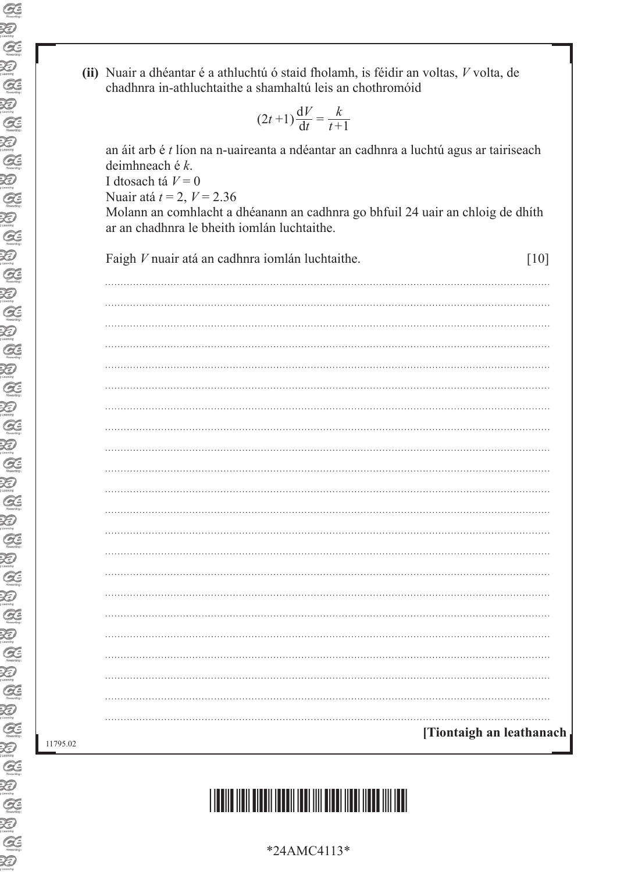**(ii)** Nuair a dhéantar é a athluchtú ó staid fholamh, is féidir an voltas, *V* volta, de chadhnra in-athluchtaithe a shamhaltú leis an chothromóid

$$
(2t+1)\frac{\mathrm{d}V}{\mathrm{d}t} = \frac{k}{t+1}
$$

 an áit arb é *t* líon na n-uaireanta a ndéantar an cadhnra a luchtú agus ar tairiseach deimhneach é *k*. I dtosach tá *V* = 0

Nuair atá *t* = 2, *V* = 2.36

 Molann an comhlacht a dhéanann an cadhnra go bhfuil 24 uair an chloig de dhíth ar an chadhnra le bheith iomlán luchtaithe.

Faigh *V* nuair atá an cadhnra iomlán luchtaithe. [10]

| $\cdots$                      |
|-------------------------------|
| $\cdots$                      |
| .                             |
| $\cdots$ .                    |
| .                             |
| .                             |
|                               |
|                               |
| .                             |
|                               |
|                               |
|                               |
|                               |
|                               |
|                               |
|                               |
| . <b>.</b>                    |
|                               |
|                               |
|                               |
| .<br>[Tiontaigh an leathanach |
|                               |



\*24AMC4113\*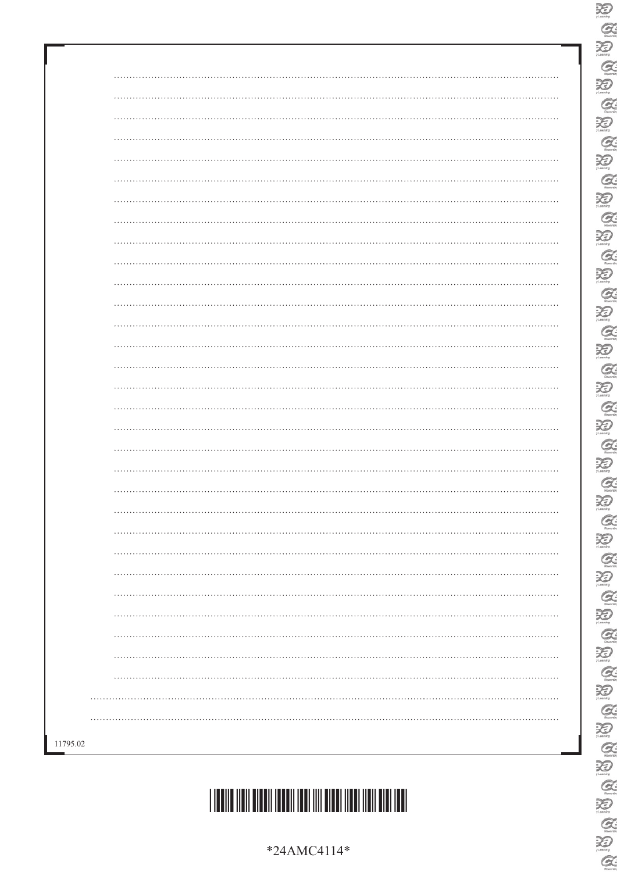\*24AMC4114\*



| .      |
|--------|
|        |
|        |
| .<br>. |
|        |
|        |
|        |
|        |
|        |
|        |
|        |
|        |
|        |
|        |
|        |
|        |
|        |
|        |
|        |
|        |
|        |
|        |
|        |
|        |
|        |
|        |
|        |
|        |
|        |
|        |
|        |
|        |
|        |
|        |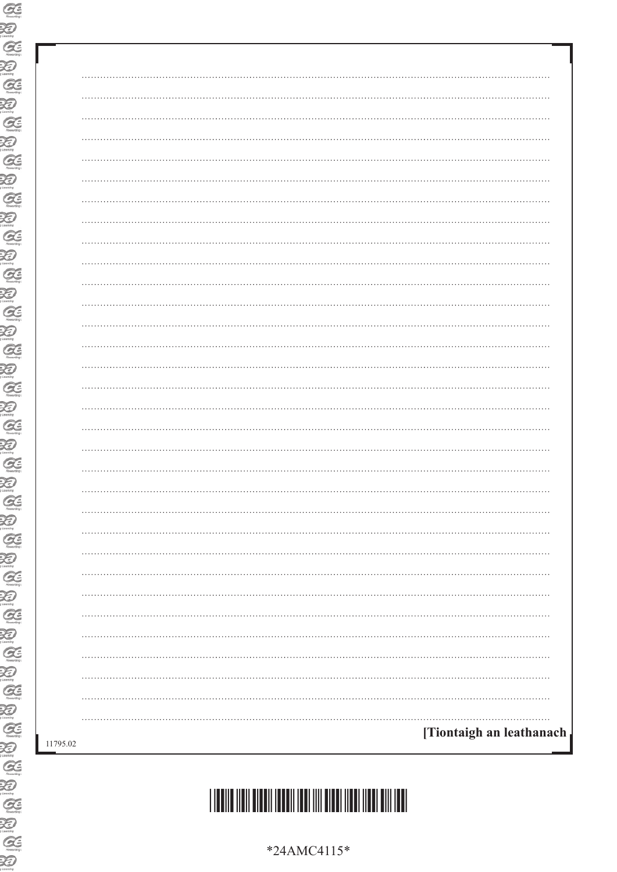|          | $\cdots$                 |
|----------|--------------------------|
|          |                          |
|          |                          |
|          | $\cdots$<br>.            |
|          |                          |
|          | $\cdots$<br>.            |
|          | $\cdots$<br>. <b>.</b>   |
|          |                          |
|          | .<br>$\cdots$            |
|          | $\cdots$<br>.            |
|          |                          |
|          | .                        |
|          | $\cdots$<br>.            |
|          |                          |
|          | $\cdots$<br>.            |
|          | $\cdots$<br>.            |
|          |                          |
|          | $\cdots$                 |
|          | $\cdots$<br>.            |
|          |                          |
|          | . <b>.</b>               |
|          |                          |
|          |                          |
|          |                          |
|          | $\cdots$                 |
|          |                          |
|          |                          |
|          |                          |
|          |                          |
|          |                          |
|          |                          |
| 11795.02 | [Tiontaigh an leathanach |
|          |                          |

# 

\*24AMC4115\*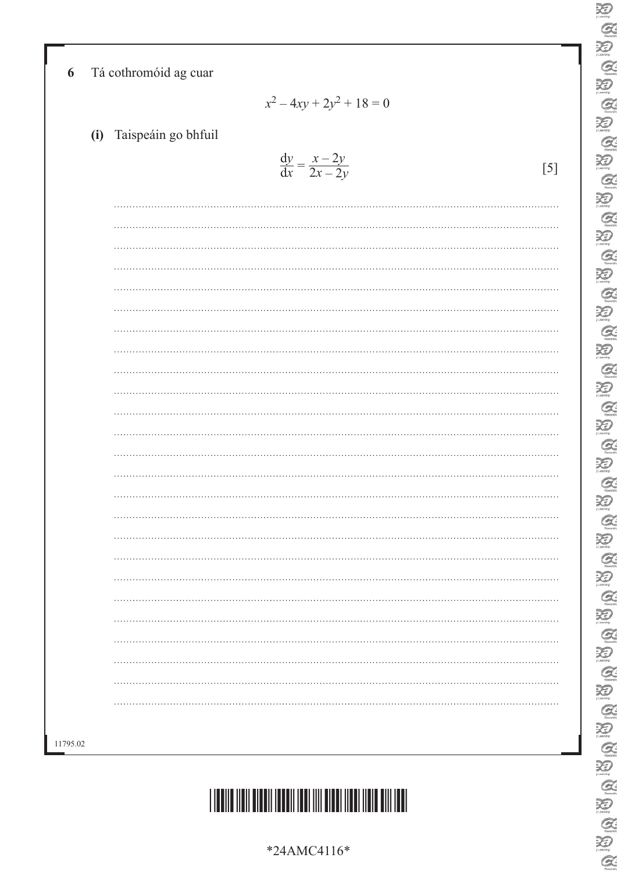| 6        |                             | Tá cothromóid ag cuar                           |  |  |  |
|----------|-----------------------------|-------------------------------------------------|--|--|--|
|          | $x^2 - 4xy + 2y^2 + 18 = 0$ |                                                 |  |  |  |
|          |                             | (i) Taispeáin go bhfuil                         |  |  |  |
|          |                             | $\frac{dy}{dx} = \frac{x - 2y}{2x - 2y}$<br>[5] |  |  |  |
|          |                             |                                                 |  |  |  |
|          |                             |                                                 |  |  |  |
|          |                             |                                                 |  |  |  |
|          |                             |                                                 |  |  |  |
|          |                             |                                                 |  |  |  |
|          |                             |                                                 |  |  |  |
|          |                             |                                                 |  |  |  |
|          |                             |                                                 |  |  |  |
|          |                             |                                                 |  |  |  |
|          |                             |                                                 |  |  |  |
|          |                             |                                                 |  |  |  |
|          |                             |                                                 |  |  |  |
|          |                             |                                                 |  |  |  |
|          |                             |                                                 |  |  |  |
|          |                             |                                                 |  |  |  |
|          |                             |                                                 |  |  |  |
|          |                             |                                                 |  |  |  |
|          |                             |                                                 |  |  |  |
|          |                             |                                                 |  |  |  |
|          |                             |                                                 |  |  |  |
|          |                             |                                                 |  |  |  |
|          |                             |                                                 |  |  |  |
|          |                             |                                                 |  |  |  |
|          |                             |                                                 |  |  |  |
|          |                             |                                                 |  |  |  |
| 11795.02 |                             |                                                 |  |  |  |



 $\sum_{\text{learning}}$  $\alpha$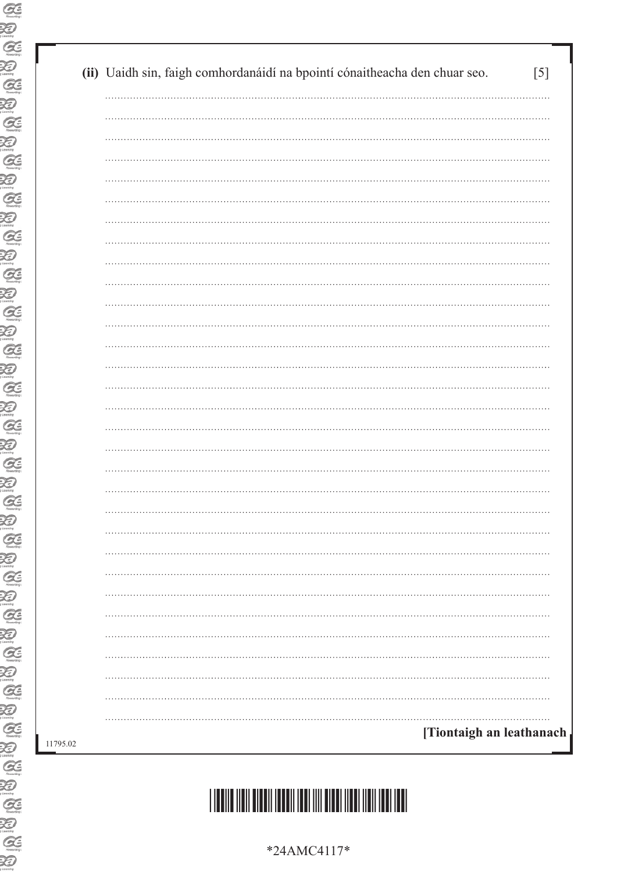| .                        |  |
|--------------------------|--|
|                          |  |
|                          |  |
|                          |  |
|                          |  |
|                          |  |
|                          |  |
|                          |  |
|                          |  |
|                          |  |
|                          |  |
|                          |  |
|                          |  |
|                          |  |
|                          |  |
|                          |  |
|                          |  |
|                          |  |
|                          |  |
|                          |  |
|                          |  |
|                          |  |
|                          |  |
|                          |  |
|                          |  |
|                          |  |
|                          |  |
| [Tiontaigh an leathanach |  |

\*24AMC4117\*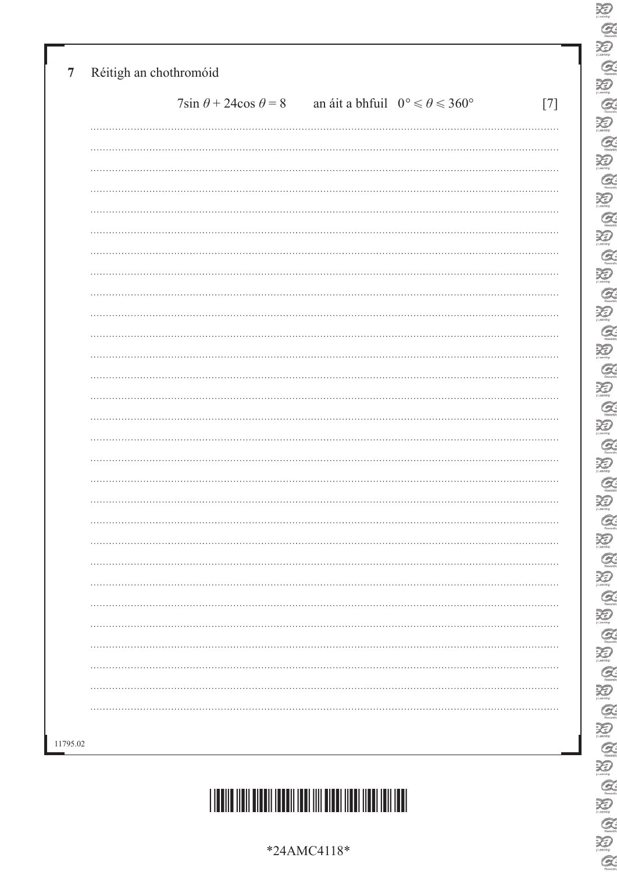|  | $7\sin\theta + 24\cos\theta = 8$ | an áit a bhfuil $0^{\circ} \le \theta \le 360^{\circ}$ |  |
|--|----------------------------------|--------------------------------------------------------|--|
|  |                                  |                                                        |  |
|  |                                  |                                                        |  |
|  |                                  |                                                        |  |
|  |                                  |                                                        |  |
|  |                                  |                                                        |  |
|  |                                  |                                                        |  |
|  |                                  |                                                        |  |
|  |                                  |                                                        |  |
|  |                                  |                                                        |  |
|  |                                  |                                                        |  |
|  |                                  |                                                        |  |
|  |                                  |                                                        |  |
|  |                                  |                                                        |  |
|  |                                  |                                                        |  |
|  |                                  |                                                        |  |
|  |                                  |                                                        |  |
|  |                                  |                                                        |  |
|  |                                  |                                                        |  |
|  |                                  |                                                        |  |
|  |                                  |                                                        |  |
|  |                                  |                                                        |  |
|  |                                  |                                                        |  |
|  |                                  |                                                        |  |
|  |                                  |                                                        |  |
|  |                                  |                                                        |  |
|  |                                  |                                                        |  |
|  |                                  |                                                        |  |
|  |                                  |                                                        |  |
|  |                                  |                                                        |  |
|  |                                  |                                                        |  |

 $\alpha$ 

 $\sum_{\text{max}}$  $\alpha$ 

 $\sum_{\text{Z} \text{ learning}}$ 

 $Q$ 

 $\sum_{\text{learning}}$  $\alpha$  $\overline{\mathcal{Z}}$  $\mathcal{Q}$  $\sum_{i \in \mathcal{I}}$  $\alpha$  $\sum_{i=1}^{\infty}$  $\mathcal{Q}$  $\sum_{n=1}^{\infty}$  $\alpha$  $\sum_{\text{norm}}$  $\alpha$  $\overline{\mathcal{Z}}$  $\mathcal{Q}$  $\sum_{\text{learning}}$  $\alpha$  $\sum_{i \text{learning}}$  $\mathcal{Q}$  $\overline{\mathcal{D}}$  $\mathcal{Q}$ 泡  $\bigotimes_{\text{Riemann}}$  $\sum_{\text{learning}}$  $\mathcal{G}$  $\sum_{\text{mean}}$  $\alpha$  $\overline{\mathcal{Z}}$  $\alpha$  $\sum_{\text{learning}}$  $\alpha$  $\sum_{\text{norm}}$  $\mathcal{Q}$  $\overline{\mathbf{Z}}$  $\alpha$  $\frac{1}{2}$  $\alpha$  $\sum_{\text{theory}}$  $\mathcal{Q}$  $\sum_{\text{norm}}$ 

### \*24AMC4118\*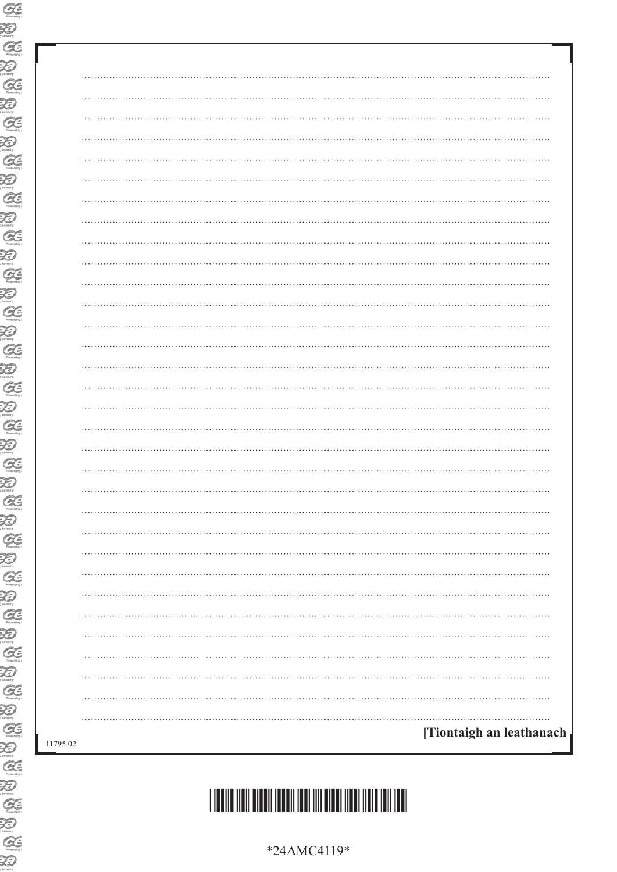| [Tiontaigh an leathanach |
|--------------------------|
|                          |
|                          |
|                          |
|                          |
|                          |
|                          |
|                          |
| $\cdots$                 |
| .                        |
|                          |
| $\cdots$                 |
| <br>.                    |
|                          |
|                          |
| .                        |
| $\ddotsc$                |
| .                        |
|                          |
|                          |
| .<br>.                   |
|                          |
| .                        |
|                          |
| $\cdots$                 |
|                          |

# 

\*24AMC4119\*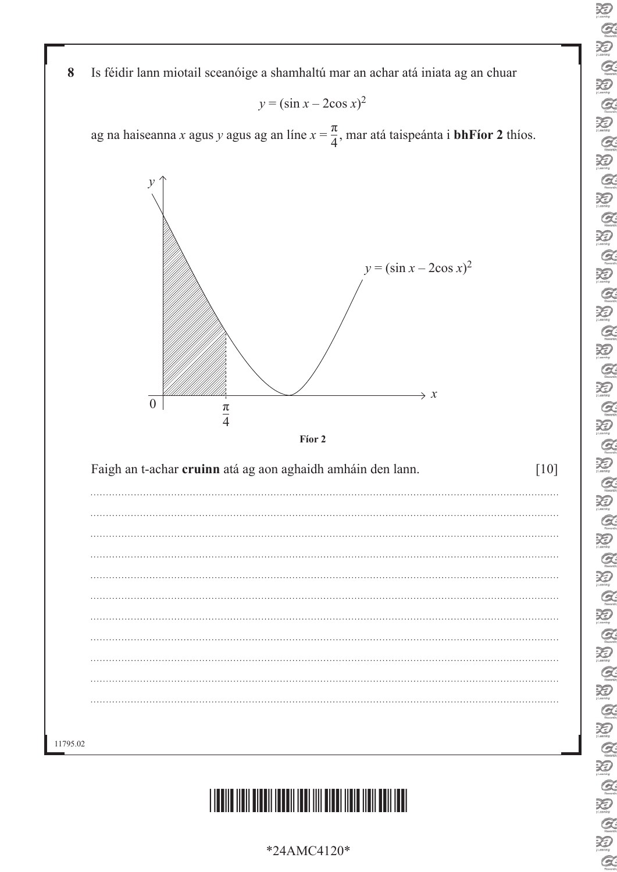

 $\sum_{\text{learning}}$  $Q$  $\sum_{\text{learning}}$  $\bigotimes_{\text{Rausch}}$ 泡  $Q$ 泡  $Q$ 泡  $Q$ 泡  $\alpha$ 泡  $\alpha$  $\mathcal{Z}$  $\mathcal{Q}$ 万  $Q$  $\sum_{i \text{ identity}}$  $\alpha$ 泡  $\alpha$ 泪  $Q$  $\mathbb{Z}$  $\mathcal{Q}$ 

BR A

SQ B Q

E<br>E

B Q B A

E<br>B

 $C$ 

## <u>\*24AMC 1120 AMC 120 AMC 120 AMC 120 AMC 120 AMC 120 AMC 120 AMC 120 AMC 120 AMC 120 AMC 120 AMC 120 AMC 120 AM</u>

\*24AMC4120\*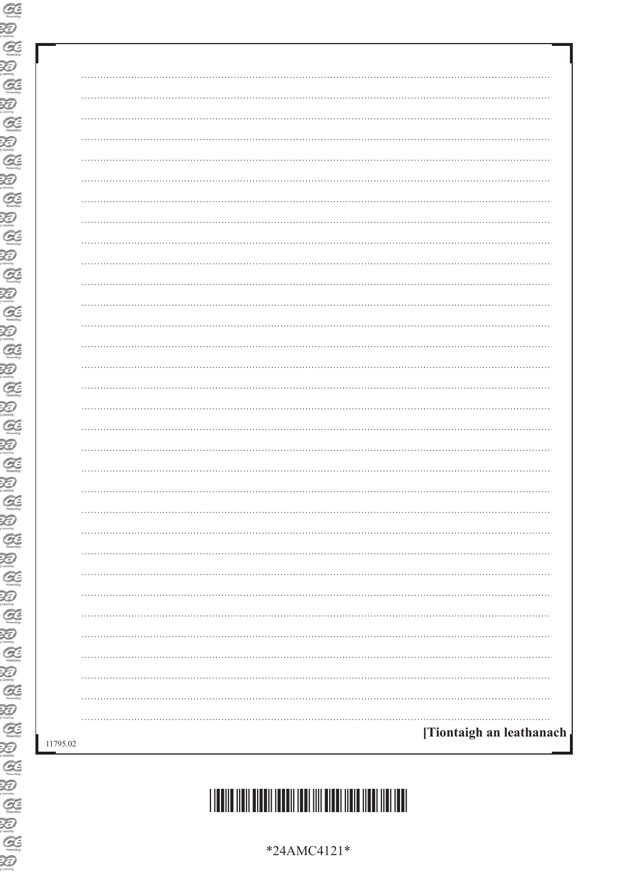|          | .<br>                    |
|----------|--------------------------|
|          |                          |
|          |                          |
|          |                          |
|          |                          |
|          |                          |
|          |                          |
|          |                          |
|          | .                        |
|          |                          |
|          |                          |
|          |                          |
|          |                          |
|          | .                        |
|          |                          |
|          |                          |
|          |                          |
|          |                          |
|          |                          |
|          |                          |
|          |                          |
|          |                          |
|          |                          |
|          |                          |
|          |                          |
|          |                          |
| 11795.02 | [Tiontaigh an leathanach |

# 

\*24AMC4121\*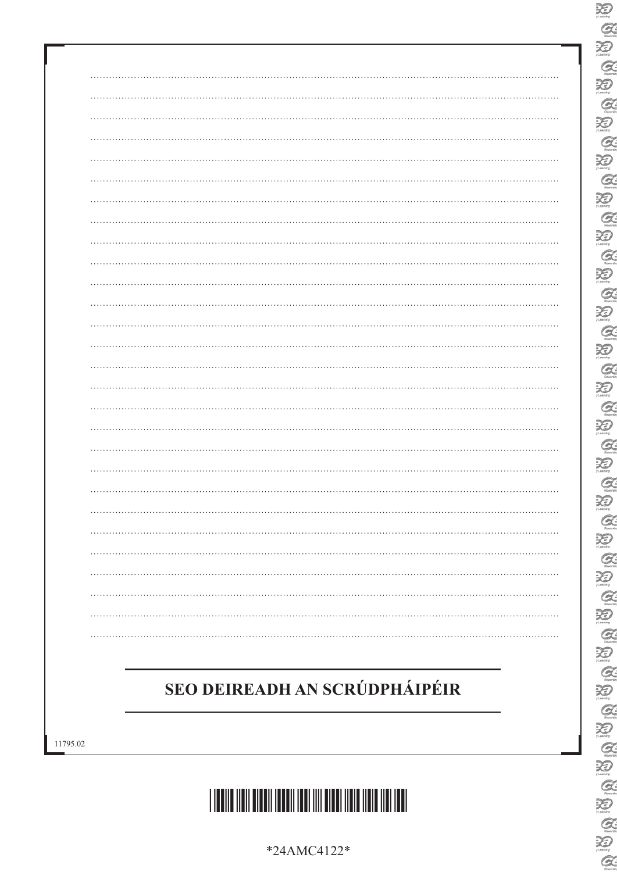|          | .                             |
|----------|-------------------------------|
|          |                               |
|          |                               |
|          | $\cdots$                      |
|          | .                             |
|          |                               |
|          | $\cdots$                      |
|          |                               |
|          |                               |
|          | $\cdots$                      |
|          |                               |
|          |                               |
|          | $\cdots$                      |
|          |                               |
|          |                               |
|          | $\cdots$                      |
|          | .                             |
|          |                               |
|          |                               |
|          |                               |
|          |                               |
|          |                               |
|          | .                             |
|          |                               |
|          |                               |
|          |                               |
|          |                               |
|          |                               |
|          |                               |
|          |                               |
|          |                               |
|          | SEO DEIREADH AN SCRÚDPHÁIPÉIR |
|          |                               |
| 11795.02 |                               |
|          |                               |
|          |                               |



\*24AMC4122\*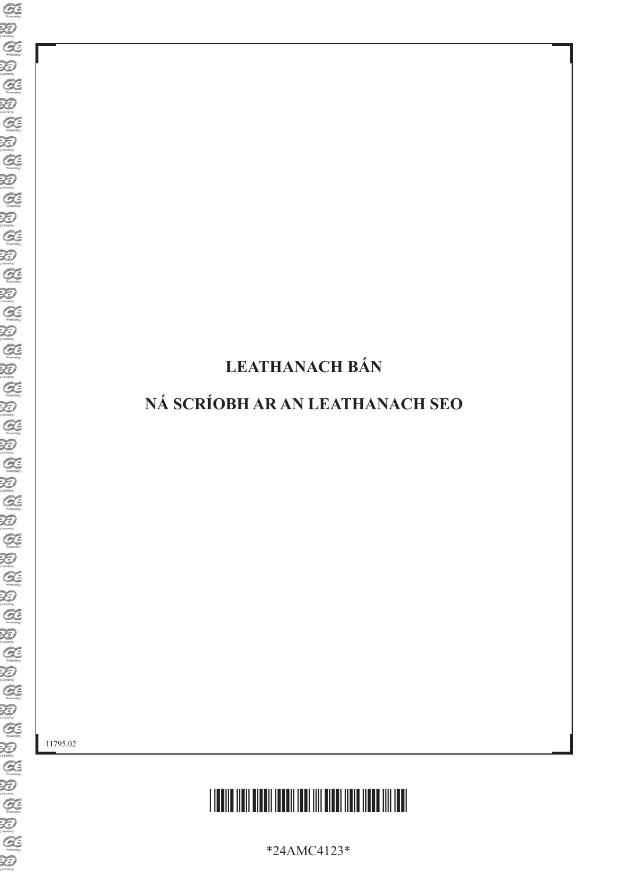## **LEATHANACH BÁN**

### NÁ SCRÍOBH AR AN LEATHANACH SEO

11795.02



\*24AMC4123\*